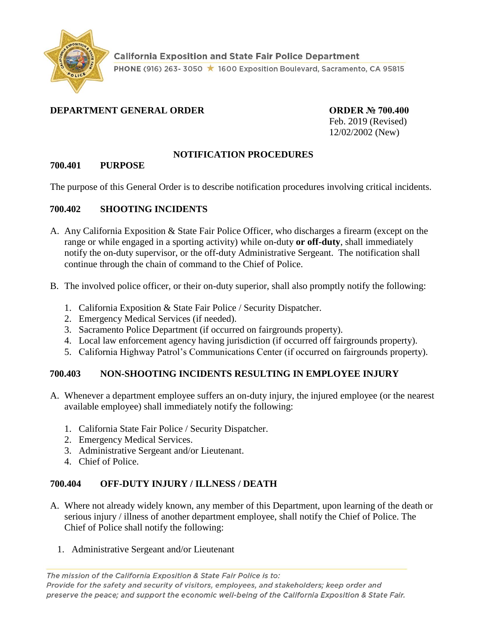

# **DEPARTMENT GENERAL ORDER ORDER № 700.400**

Feb. 2019 (Revised) 12/02/2002 (New)

### **NOTIFICATION PROCEDURES**

#### **700.401 PURPOSE**

The purpose of this General Order is to describe notification procedures involving critical incidents.

### **700.402 SHOOTING INCIDENTS**

- A. Any California Exposition & State Fair Police Officer, who discharges a firearm (except on the range or while engaged in a sporting activity) while on-duty **or off-duty**, shall immediately notify the on-duty supervisor, or the off-duty Administrative Sergeant. The notification shall continue through the chain of command to the Chief of Police.
- B. The involved police officer, or their on-duty superior, shall also promptly notify the following:
	- 1. California Exposition & State Fair Police / Security Dispatcher.
	- 2. Emergency Medical Services (if needed).
	- 3. Sacramento Police Department (if occurred on fairgrounds property).
	- 4. Local law enforcement agency having jurisdiction (if occurred off fairgrounds property).
	- 5. California Highway Patrol's Communications Center (if occurred on fairgrounds property).

### **700.403 NON-SHOOTING INCIDENTS RESULTING IN EMPLOYEE INJURY**

- A. Whenever a department employee suffers an on-duty injury, the injured employee (or the nearest available employee) shall immediately notify the following:
	- 1. California State Fair Police / Security Dispatcher.
	- 2. Emergency Medical Services.
	- 3. Administrative Sergeant and/or Lieutenant.
	- 4. Chief of Police.

### **700.404 OFF-DUTY INJURY / ILLNESS / DEATH**

- A. Where not already widely known, any member of this Department, upon learning of the death or serious injury / illness of another department employee, shall notify the Chief of Police. The Chief of Police shall notify the following:
	- 1. Administrative Sergeant and/or Lieutenant